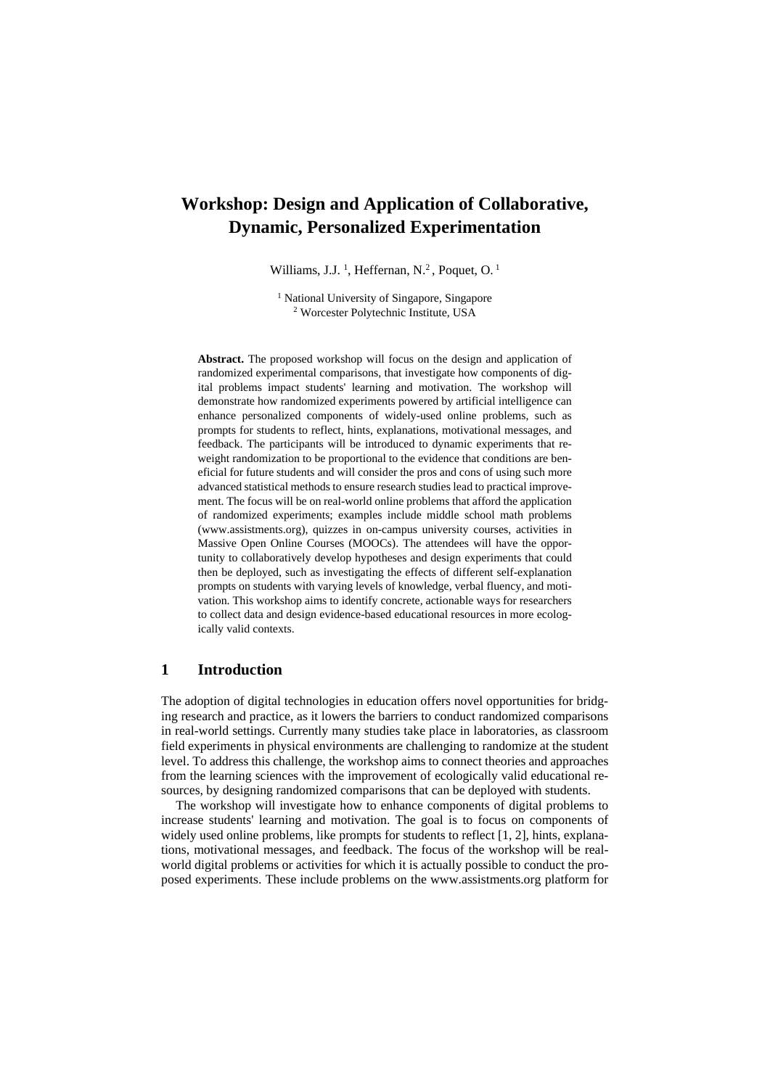# **Workshop: Design and Application of Collaborative, Dynamic, Personalized Experimentation**

Williams, J.J.<sup>1</sup>, Heffernan, N.<sup>2</sup>, Poquet, O.<sup>1</sup>

<sup>1</sup> National University of Singapore, Singapore <sup>2</sup> Worcester Polytechnic Institute, USA

**Abstract.** The proposed workshop will focus on the design and application of randomized experimental comparisons, that investigate how components of digital problems impact students' learning and motivation. The workshop will demonstrate how randomized experiments powered by artificial intelligence can enhance personalized components of widely-used online problems, such as prompts for students to reflect, hints, explanations, motivational messages, and feedback. The participants will be introduced to dynamic experiments that reweight randomization to be proportional to the evidence that conditions are beneficial for future students and will consider the pros and cons of using such more advanced statistical methods to ensure research studies lead to practical improvement. The focus will be on real-world online problems that afford the application of randomized experiments; examples include middle school math problems [\(www.assistments.org\),](http://www.assistments.org)/) quizzes in on-campus university courses, activities in Massive Open Online Courses (MOOCs). The attendees will have the opportunity to collaboratively develop hypotheses and design experiments that could then be deployed, such as investigating the effects of different self-explanation prompts on students with varying levels of knowledge, verbal fluency, and motivation. This workshop aims to identify concrete, actionable ways for researchers to collect data and design evidence-based educational resources in more ecologically valid contexts.

## **1 Introduction**

The adoption of digital technologies in education offers novel opportunities for bridging research and practice, as it lowers the barriers to conduct randomized comparisons in real-world settings. Currently many studies take place in laboratories, as classroom field experiments in physical environments are challenging to randomize at the student level. To address this challenge, the workshop aims to connect theories and approaches from the learning sciences with the improvement of ecologically valid educational resources, by designing randomized comparisons that can be deployed with students.

The workshop will investigate how to enhance components of digital problems to increase students' learning and motivation. The goal is to focus on components of widely used online problems, like prompts for students to reflect [1, 2], hints, explanations, motivational messages, and feedback. The focus of the workshop will be realworld digital problems or activities for which it is actually possible to conduct the proposed experiments. These include problems on the www.assistments.org platform for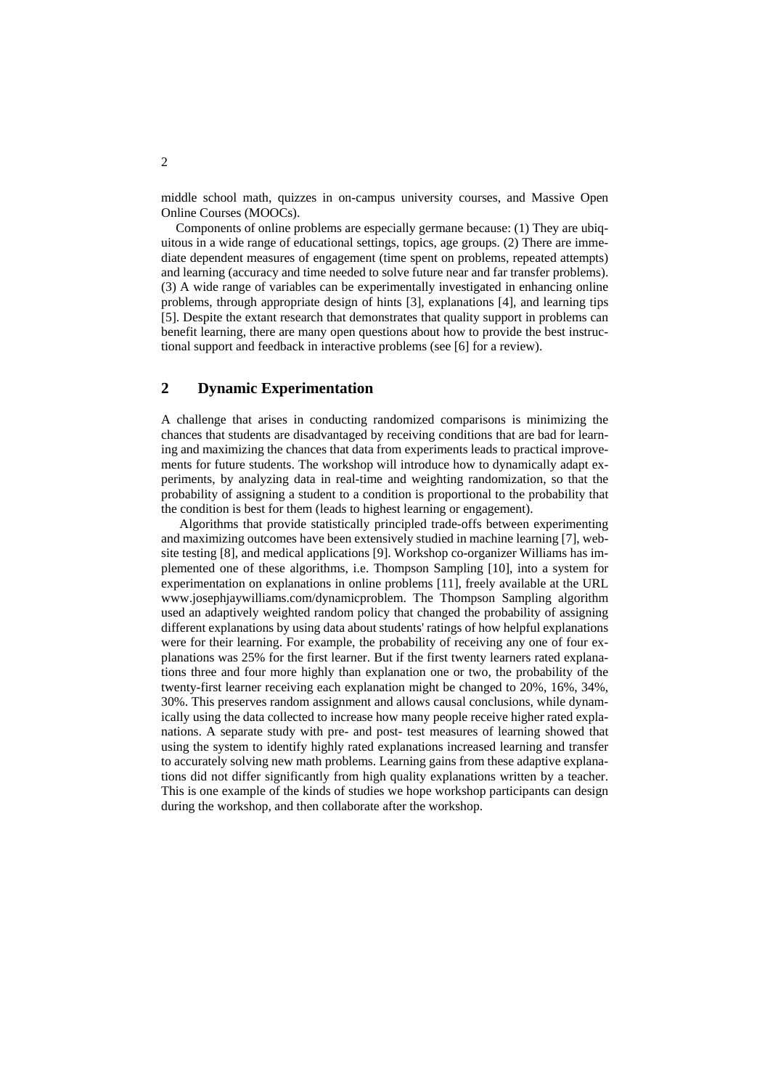middle school math, quizzes in on-campus university courses, and Massive Open Online Courses (MOOCs).

Components of online problems are especially germane because: (1) They are ubiquitous in a wide range of educational settings, topics, age groups. (2) There are immediate dependent measures of engagement (time spent on problems, repeated attempts) and learning (accuracy and time needed to solve future near and far transfer problems). (3) A wide range of variables can be experimentally investigated in enhancing online problems, through appropriate design of hints [3], explanations [4], and learning tips [5]. Despite the extant research that demonstrates that quality support in problems can benefit learning, there are many open questions about how to provide the best instructional support and feedback in interactive problems (see [6] for a review).

# **2 Dynamic Experimentation**

A challenge that arises in conducting randomized comparisons is minimizing the chances that students are disadvantaged by receiving conditions that are bad for learning and maximizing the chances that data from experiments leads to practical improvements for future students. The workshop will introduce how to dynamically adapt experiments, by analyzing data in real-time and weighting randomization, so that the probability of assigning a student to a condition is proportional to the probability that the condition is best for them (leads to highest learning or engagement).

Algorithms that provide statistically principled trade-offs between experimenting and maximizing outcomes have been extensively studied in machine learning [7], website testing [8], and medical applications [9]. Workshop co-organizer Williams has implemented one of these algorithms, i.e. Thompson Sampling [10], into a system for experimentation on explanations in online problems [11], freely available at the URL www.josephjaywilliams.com/dynamicproblem. The Thompson Sampling algorithm used an adaptively weighted random policy that changed the probability of assigning different explanations by using data about students' ratings of how helpful explanations were for their learning. For example, the probability of receiving any one of four explanations was 25% for the first learner. But if the first twenty learners rated explanations three and four more highly than explanation one or two, the probability of the twenty-first learner receiving each explanation might be changed to 20%, 16%, 34%, 30%. This preserves random assignment and allows causal conclusions, while dynamically using the data collected to increase how many people receive higher rated explanations. A separate study with pre- and post- test measures of learning showed that using the system to identify highly rated explanations increased learning and transfer to accurately solving new math problems. Learning gains from these adaptive explanations did not differ significantly from high quality explanations written by a teacher. This is one example of the kinds of studies we hope workshop participants can design during the workshop, and then collaborate after the workshop.